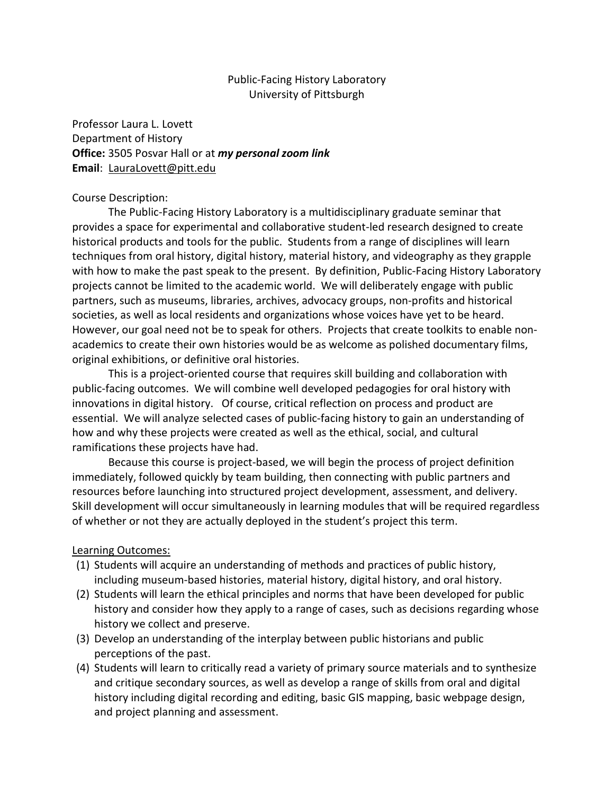## Public-Facing History Laboratory University of Pittsburgh

Professor Laura L. Lovett Department of History **Office:** 3505 Posvar Hall or at *my personal zoom link* **Email**: [LauraLovett@pitt.edu](mailto:LauraLovett@pitt.edu)

### Course Description:

The Public-Facing History Laboratory is a multidisciplinary graduate seminar that provides a space for experimental and collaborative student-led research designed to create historical products and tools for the public. Students from a range of disciplines will learn techniques from oral history, digital history, material history, and videography as they grapple with how to make the past speak to the present. By definition, Public-Facing History Laboratory projects cannot be limited to the academic world. We will deliberately engage with public partners, such as museums, libraries, archives, advocacy groups, non-profits and historical societies, as well as local residents and organizations whose voices have yet to be heard. However, our goal need not be to speak for others. Projects that create toolkits to enable nonacademics to create their own histories would be as welcome as polished documentary films, original exhibitions, or definitive oral histories.

This is a project-oriented course that requires skill building and collaboration with public-facing outcomes. We will combine well developed pedagogies for oral history with innovations in digital history. Of course, critical reflection on process and product are essential. We will analyze selected cases of public-facing history to gain an understanding of how and why these projects were created as well as the ethical, social, and cultural ramifications these projects have had.

Because this course is project-based, we will begin the process of project definition immediately, followed quickly by team building, then connecting with public partners and resources before launching into structured project development, assessment, and delivery. Skill development will occur simultaneously in learning modules that will be required regardless of whether or not they are actually deployed in the student's project this term.

## Learning Outcomes:

- (1) Students will acquire an understanding of methods and practices of public history, including museum-based histories, material history, digital history, and oral history.
- (2) Students will learn the ethical principles and norms that have been developed for public history and consider how they apply to a range of cases, such as decisions regarding whose history we collect and preserve.
- (3) Develop an understanding of the interplay between public historians and public perceptions of the past.
- (4) Students will learn to critically read a variety of primary source materials and to synthesize and critique secondary sources, as well as develop a range of skills from oral and digital history including digital recording and editing, basic GIS mapping, basic webpage design, and project planning and assessment.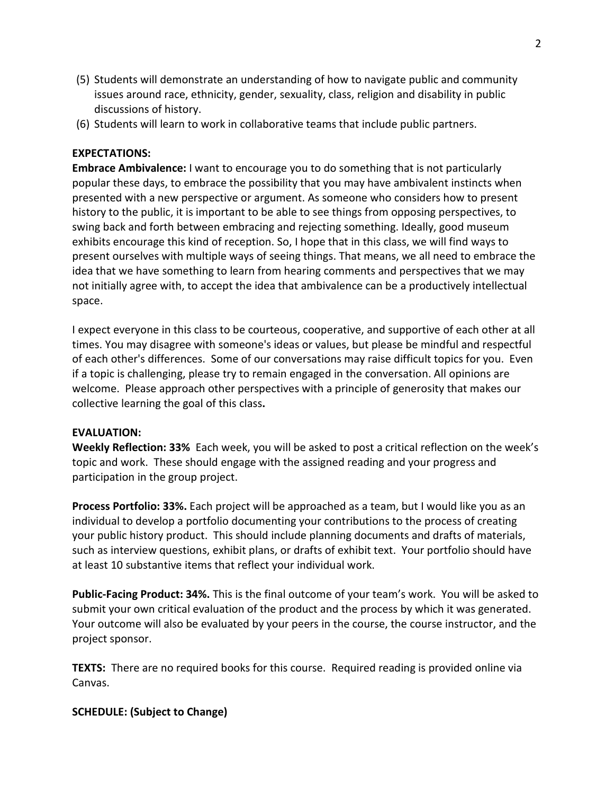- (5) Students will demonstrate an understanding of how to navigate public and community issues around race, ethnicity, gender, sexuality, class, religion and disability in public discussions of history.
- (6) Students will learn to work in collaborative teams that include public partners.

## **EXPECTATIONS:**

**Embrace Ambivalence:** I want to encourage you to do something that is not particularly popular these days, to embrace the possibility that you may have ambivalent instincts when presented with a new perspective or argument. As someone who considers how to present history to the public, it is important to be able to see things from opposing perspectives, to swing back and forth between embracing and rejecting something. Ideally, good museum exhibits encourage this kind of reception. So, I hope that in this class, we will find ways to present ourselves with multiple ways of seeing things. That means, we all need to embrace the idea that we have something to learn from hearing comments and perspectives that we may not initially agree with, to accept the idea that ambivalence can be a productively intellectual space.

I expect everyone in this class to be courteous, cooperative, and supportive of each other at all times. You may disagree with someone's ideas or values, but please be mindful and respectful of each other's differences. Some of our conversations may raise difficult topics for you. Even if a topic is challenging, please try to remain engaged in the conversation. All opinions are welcome. Please approach other perspectives with a principle of generosity that makes our collective learning the goal of this class**.**

## **EVALUATION:**

**Weekly Reflection: 33%** Each week, you will be asked to post a critical reflection on the week's topic and work. These should engage with the assigned reading and your progress and participation in the group project.

**Process Portfolio: 33%.** Each project will be approached as a team, but I would like you as an individual to develop a portfolio documenting your contributions to the process of creating your public history product. This should include planning documents and drafts of materials, such as interview questions, exhibit plans, or drafts of exhibit text. Your portfolio should have at least 10 substantive items that reflect your individual work.

**Public-Facing Product: 34%.** This is the final outcome of your team's work. You will be asked to submit your own critical evaluation of the product and the process by which it was generated. Your outcome will also be evaluated by your peers in the course, the course instructor, and the project sponsor.

**TEXTS:** There are no required books for this course. Required reading is provided online via Canvas.

# **SCHEDULE: (Subject to Change)**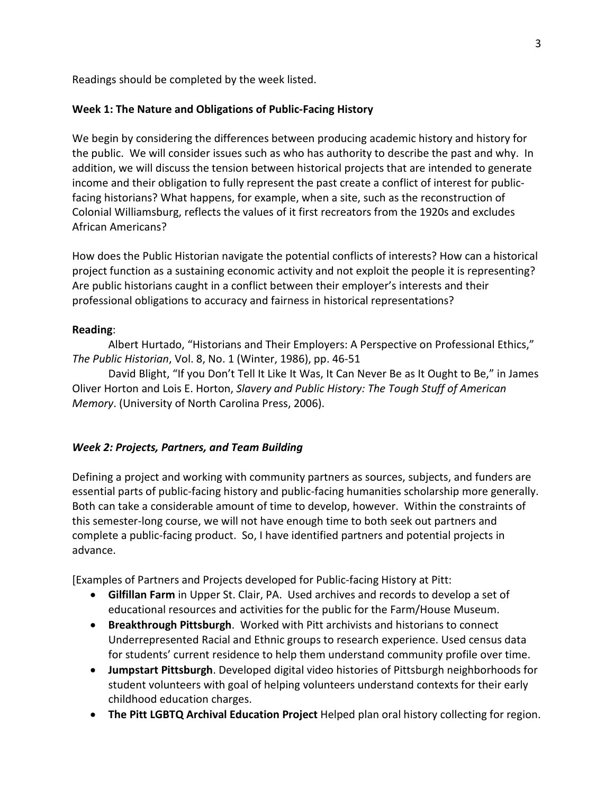Readings should be completed by the week listed.

### **Week 1: The Nature and Obligations of Public-Facing History**

We begin by considering the differences between producing academic history and history for the public. We will consider issues such as who has authority to describe the past and why. In addition, we will discuss the tension between historical projects that are intended to generate income and their obligation to fully represent the past create a conflict of interest for publicfacing historians? What happens, for example, when a site, such as the reconstruction of Colonial Williamsburg, reflects the values of it first recreators from the 1920s and excludes African Americans?

How does the Public Historian navigate the potential conflicts of interests? How can a historical project function as a sustaining economic activity and not exploit the people it is representing? Are public historians caught in a conflict between their employer's interests and their professional obligations to accuracy and fairness in historical representations?

#### **Reading**:

Albert Hurtado, "Historians and Their Employers: A Perspective on Professional Ethics," *The Public Historian*, Vol. 8, No. 1 (Winter, 1986), pp. 46-51

David Blight, "If you Don't Tell It Like It Was, It Can Never Be as It Ought to Be," in James Oliver Horton and Lois E. Horton, *Slavery and Public History: The Tough Stuff of American Memory*. (University of North Carolina Press, 2006).

## *Week 2: Projects, Partners, and Team Building*

Defining a project and working with community partners as sources, subjects, and funders are essential parts of public-facing history and public-facing humanities scholarship more generally. Both can take a considerable amount of time to develop, however. Within the constraints of this semester-long course, we will not have enough time to both seek out partners and complete a public-facing product. So, I have identified partners and potential projects in advance.

[Examples of Partners and Projects developed for Public-facing History at Pitt:

- **Gilfillan Farm** in Upper St. Clair, PA. Used archives and records to develop a set of educational resources and activities for the public for the Farm/House Museum.
- **Breakthrough Pittsburgh**. Worked with Pitt archivists and historians to connect Underrepresented Racial and Ethnic groups to research experience. Used census data for students' current residence to help them understand community profile over time.
- **Jumpstart Pittsburgh**. Developed digital video histories of Pittsburgh neighborhoods for student volunteers with goal of helping volunteers understand contexts for their early childhood education charges.
- **The Pitt LGBTQ Archival Education Project** Helped plan oral history collecting for region.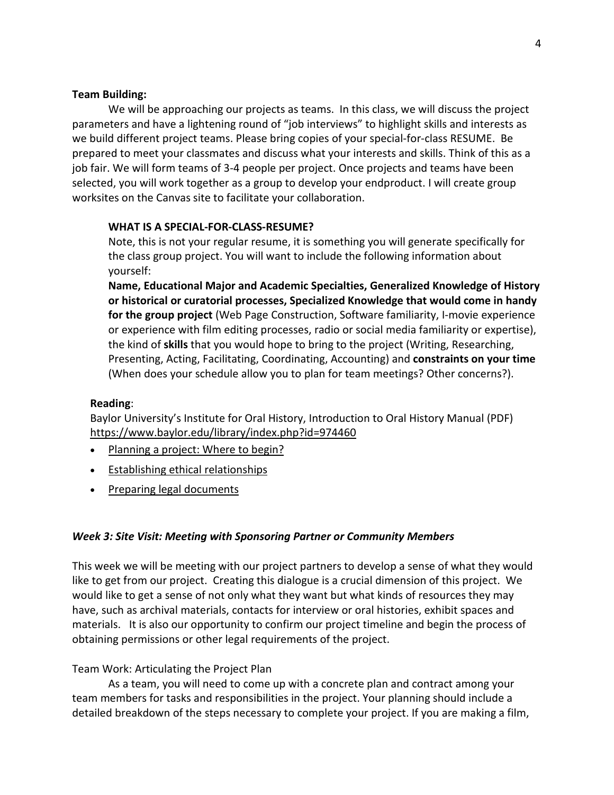### **Team Building:**

We will be approaching our projects as teams. In this class, we will discuss the project parameters and have a lightening round of "job interviews" to highlight skills and interests as we build different project teams. Please bring copies of your special-for-class RESUME. Be prepared to meet your classmates and discuss what your interests and skills. Think of this as a job fair. We will form teams of 3-4 people per project. Once projects and teams have been selected, you will work together as a group to develop your endproduct. I will create group worksites on the Canvas site to facilitate your collaboration.

#### **WHAT IS A SPECIAL-FOR-CLASS-RESUME?**

Note, this is not your regular resume, it is something you will generate specifically for the class group project. You will want to include the following information about yourself:

**Name, Educational Major and Academic Specialties, Generalized Knowledge of History or historical or curatorial processes, Specialized Knowledge that would come in handy for the group project** (Web Page Construction, Software familiarity, I-movie experience or experience with film editing processes, radio or social media familiarity or expertise), the kind of **skills** that you would hope to bring to the project (Writing, Researching, Presenting, Acting, Facilitating, Coordinating, Accounting) and **constraints on your time** (When does your schedule allow you to plan for team meetings? Other concerns?).

#### **Reading**:

Baylor University's Institute for Oral History, Introduction to Oral History Manual (PDF) <https://www.baylor.edu/library/index.php?id=974460>

- [Planning a project: Where to begin?](https://www.baylor.edu/content/services/document.php/66421.pdf)
- [Establishing ethical relationships](https://www.baylor.edu/content/services/document.php/66422.pdf)
- [Preparing legal documents](https://www.baylor.edu/content/services/document.php/66423.pdf)

## *Week 3: Site Visit: Meeting with Sponsoring Partner or Community Members*

This week we will be meeting with our project partners to develop a sense of what they would like to get from our project. Creating this dialogue is a crucial dimension of this project. We would like to get a sense of not only what they want but what kinds of resources they may have, such as archival materials, contacts for interview or oral histories, exhibit spaces and materials. It is also our opportunity to confirm our project timeline and begin the process of obtaining permissions or other legal requirements of the project.

#### Team Work: Articulating the Project Plan

As a team, you will need to come up with a concrete plan and contract among your team members for tasks and responsibilities in the project. Your planning should include a detailed breakdown of the steps necessary to complete your project. If you are making a film,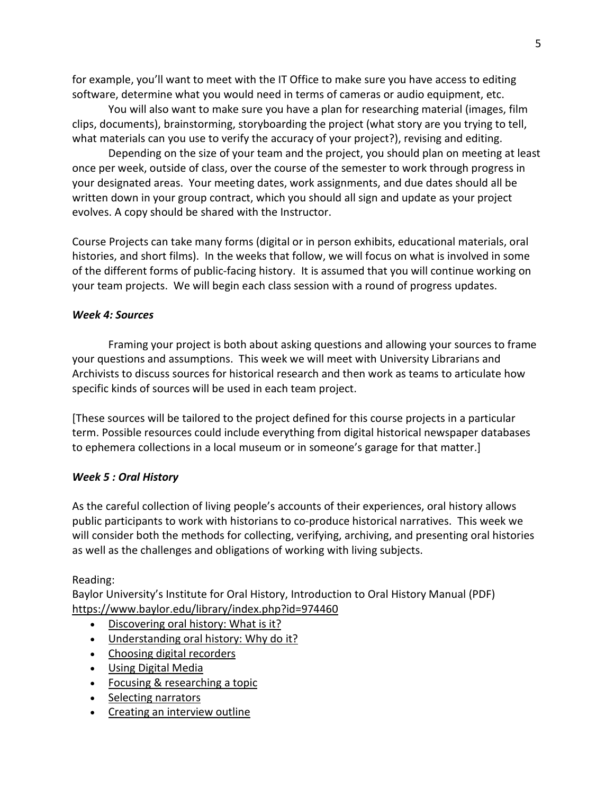for example, you'll want to meet with the IT Office to make sure you have access to editing software, determine what you would need in terms of cameras or audio equipment, etc.

You will also want to make sure you have a plan for researching material (images, film clips, documents), brainstorming, storyboarding the project (what story are you trying to tell, what materials can you use to verify the accuracy of your project?), revising and editing.

Depending on the size of your team and the project, you should plan on meeting at least once per week, outside of class, over the course of the semester to work through progress in your designated areas. Your meeting dates, work assignments, and due dates should all be written down in your group contract, which you should all sign and update as your project evolves. A copy should be shared with the Instructor.

Course Projects can take many forms (digital or in person exhibits, educational materials, oral histories, and short films). In the weeks that follow, we will focus on what is involved in some of the different forms of public-facing history. It is assumed that you will continue working on your team projects. We will begin each class session with a round of progress updates.

## *Week 4: Sources*

Framing your project is both about asking questions and allowing your sources to frame your questions and assumptions. This week we will meet with University Librarians and Archivists to discuss sources for historical research and then work as teams to articulate how specific kinds of sources will be used in each team project.

[These sources will be tailored to the project defined for this course projects in a particular term. Possible resources could include everything from digital historical newspaper databases to ephemera collections in a local museum or in someone's garage for that matter.]

# *Week 5 : Oral History*

As the careful collection of living people's accounts of their experiences, oral history allows public participants to work with historians to co-produce historical narratives. This week we will consider both the methods for collecting, verifying, archiving, and presenting oral histories as well as the challenges and obligations of working with living subjects.

# Reading:

Baylor University's Institute for Oral History, Introduction to Oral History Manual (PDF) <https://www.baylor.edu/library/index.php?id=974460>

- [Discovering oral history: What is it?](https://www.baylor.edu/content/services/document.php/66419.pdf)
- [Understanding oral history: Why do it?](https://www.baylor.edu/content/services/document.php/66420.pdf)
- [Choosing digital recorders](https://www.baylor.edu/content/services/document.php/66424.pdf)
- [Using Digital Media](https://www.baylor.edu/content/services/document.php/66425.pdf)
- [Focusing & researching a topic](https://www.baylor.edu/content/services/document.php/66426.pdf)
- [Selecting narrators](https://www.baylor.edu/content/services/document.php/66427.pdf)
- [Creating an interview outline](https://www.baylor.edu/content/services/document.php/66428.pdf)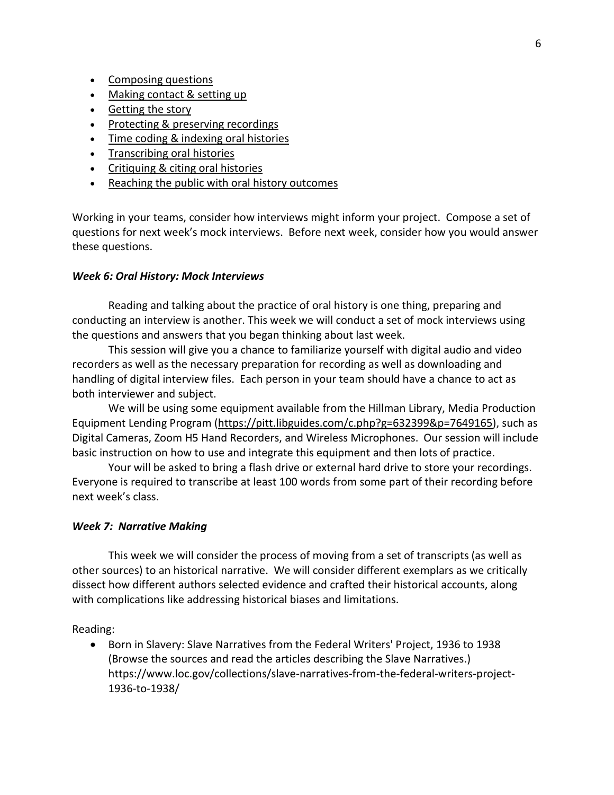- [Composing questions](https://www.baylor.edu/content/services/document.php/66429.pdf)
- [Making contact & setting up](https://www.baylor.edu/content/services/document.php/66430.pdf)
- [Getting the story](https://www.baylor.edu/content/services/document.php/66431.pdf)
- [Protecting & preserving recordings](https://www.baylor.edu/content/services/document.php/66432.pdf)
- [Time coding & indexing oral histories](https://www.baylor.edu/content/services/document.php/66437.pdf)
- [Transcribing oral histories](https://www.baylor.edu/content/services/document.php/66438.pdf)
- [Critiquing & citing oral histories](https://www.baylor.edu/content/services/document.php/66439.pdf)
- [Reaching the public with oral history outcomes](https://www.baylor.edu/content/services/document.php/66440.pdf)

Working in your teams, consider how interviews might inform your project. Compose a set of questions for next week's mock interviews. Before next week, consider how you would answer these questions.

#### *Week 6: Oral History: Mock Interviews*

Reading and talking about the practice of oral history is one thing, preparing and conducting an interview is another. This week we will conduct a set of mock interviews using the questions and answers that you began thinking about last week.

This session will give you a chance to familiarize yourself with digital audio and video recorders as well as the necessary preparation for recording as well as downloading and handling of digital interview files. Each person in your team should have a chance to act as both interviewer and subject.

We will be using some equipment available from the Hillman Library, Media Production Equipment Lending Program [\(https://pitt.libguides.com/c.php?g=632399&p=7649165\)](https://pitt.libguides.com/c.php?g=632399&p=7649165), such as Digital Cameras, Zoom H5 Hand Recorders, and Wireless Microphones. Our session will include basic instruction on how to use and integrate this equipment and then lots of practice.

Your will be asked to bring a flash drive or external hard drive to store your recordings. Everyone is required to transcribe at least 100 words from some part of their recording before next week's class.

#### *Week 7: Narrative Making*

This week we will consider the process of moving from a set of transcripts (as well as other sources) to an historical narrative. We will consider different exemplars as we critically dissect how different authors selected evidence and crafted their historical accounts, along with complications like addressing historical biases and limitations.

Reading:

• Born in Slavery: Slave Narratives from the Federal Writers' Project, 1936 to 1938 (Browse the sources and read the articles describing the Slave Narratives.) https://www.loc.gov/collections/slave-narratives-from-the-federal-writers-project-1936-to-1938/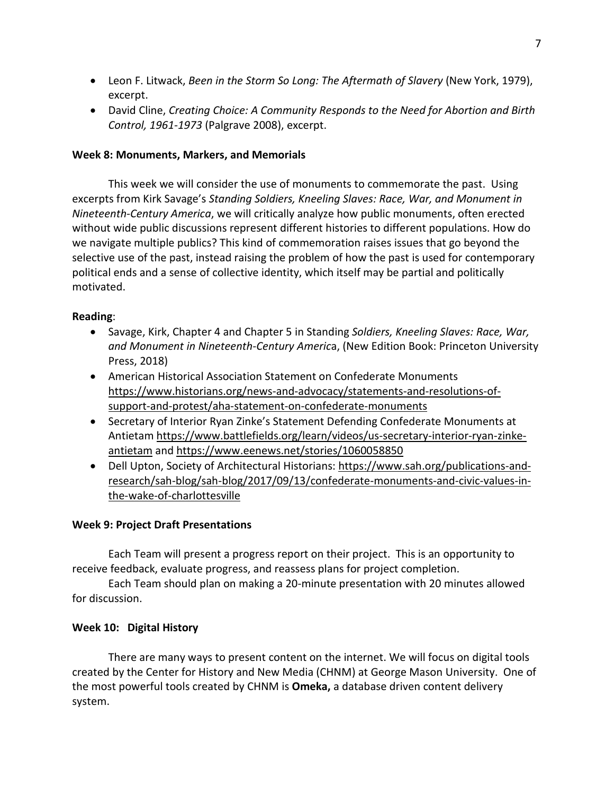- Leon F. Litwack, *Been in the Storm So Long: The Aftermath of Slavery* (New York, 1979), excerpt.
- David Cline, *Creating Choice: A Community Responds to the Need for Abortion and Birth Control, 1961-1973* (Palgrave 2008), excerpt.

## **Week 8: Monuments, Markers, and Memorials**

This week we will consider the use of monuments to commemorate the past. Using excerpts from Kirk Savage's *Standing Soldiers, Kneeling Slaves: Race, War, and Monument in Nineteenth-Century America*, we will critically analyze how public monuments, often erected without wide public discussions represent different histories to different populations. How do we navigate multiple publics? This kind of commemoration raises issues that go beyond the selective use of the past, instead raising the problem of how the past is used for contemporary political ends and a sense of collective identity, which itself may be partial and politically motivated.

## **Reading**:

- Savage, Kirk, Chapter 4 and Chapter 5 in Standing *Soldiers, Kneeling Slaves: Race, War, and Monument in Nineteenth-Century Americ*a, (New Edition Book: Princeton University Press, 2018)
- American Historical Association Statement on Confederate Monuments [https://www.historians.org/news-and-advocacy/statements-and-resolutions-of](https://www.historians.org/news-and-advocacy/statements-and-resolutions-of-support-and-protest/aha-statement-on-confederate-monuments)[support-and-protest/aha-statement-on-confederate-monuments](https://www.historians.org/news-and-advocacy/statements-and-resolutions-of-support-and-protest/aha-statement-on-confederate-monuments)
- Secretary of Interior Ryan Zinke's Statement Defending Confederate Monuments at Antietam [https://www.battlefields.org/learn/videos/us-secretary-interior-ryan-zinke](https://www.battlefields.org/learn/videos/us-secretary-interior-ryan-zinke-antietam)[antietam](https://www.battlefields.org/learn/videos/us-secretary-interior-ryan-zinke-antietam) and<https://www.eenews.net/stories/1060058850>
- Dell Upton, Society of Architectural Historians: [https://www.sah.org/publications-and](https://www.sah.org/publications-and-research/sah-blog/sah-blog/2017/09/13/confederate-monuments-and-civic-values-in-the-wake-of-charlottesville)[research/sah-blog/sah-blog/2017/09/13/confederate-monuments-and-civic-values-in](https://www.sah.org/publications-and-research/sah-blog/sah-blog/2017/09/13/confederate-monuments-and-civic-values-in-the-wake-of-charlottesville)[the-wake-of-charlottesville](https://www.sah.org/publications-and-research/sah-blog/sah-blog/2017/09/13/confederate-monuments-and-civic-values-in-the-wake-of-charlottesville)

# **Week 9: Project Draft Presentations**

Each Team will present a progress report on their project. This is an opportunity to receive feedback, evaluate progress, and reassess plans for project completion.

Each Team should plan on making a 20-minute presentation with 20 minutes allowed for discussion.

# **Week 10: Digital History**

There are many ways to present content on the internet. We will focus on digital tools created by the Center for History and New Media (CHNM) at George Mason University. One of the most powerful tools created by CHNM is **Omeka,** a database driven content delivery system.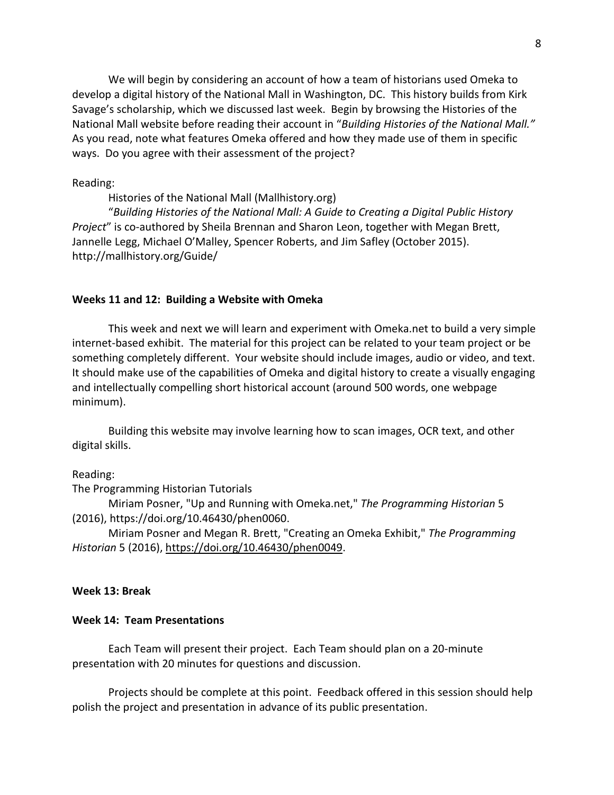We will begin by considering an account of how a team of historians used Omeka to develop a digital history of the National Mall in Washington, DC. This history builds from Kirk Savage's scholarship, which we discussed last week. Begin by browsing the Histories of the National Mall website before reading their account in "*Building Histories of the National Mall."* As you read, note what features Omeka offered and how they made use of them in specific ways. Do you agree with their assessment of the project?

Reading:

Histories of the National Mall (Mallhistory.org)

"*Building Histories of the National Mall: A Guide to Creating a Digital Public History Project*" is co-authored by Sheila Brennan and Sharon Leon, together with Megan Brett, Jannelle Legg, Michael O'Malley, Spencer Roberts, and Jim Safley (October 2015). http://mallhistory.org/Guide/

#### **Weeks 11 and 12: Building a Website with Omeka**

This week and next we will learn and experiment with Omeka.net to build a very simple internet-based exhibit. The material for this project can be related to your team project or be something completely different. Your website should include images, audio or video, and text. It should make use of the capabilities of Omeka and digital history to create a visually engaging and intellectually compelling short historical account (around 500 words, one webpage minimum).

Building this website may involve learning how to scan images, OCR text, and other digital skills.

#### Reading:

The Programming Historian Tutorials

Miriam Posner, "Up and Running with Omeka.net," *The Programming Historian* 5 (2016), https://doi.org/10.46430/phen0060.

Miriam Posner and Megan R. Brett, "Creating an Omeka Exhibit," *The Programming Historian* 5 (2016), [https://doi.org/10.46430/phen0049.](https://doi.org/10.46430/phen0049)

#### **Week 13: Break**

#### **Week 14: Team Presentations**

Each Team will present their project. Each Team should plan on a 20-minute presentation with 20 minutes for questions and discussion.

Projects should be complete at this point. Feedback offered in this session should help polish the project and presentation in advance of its public presentation.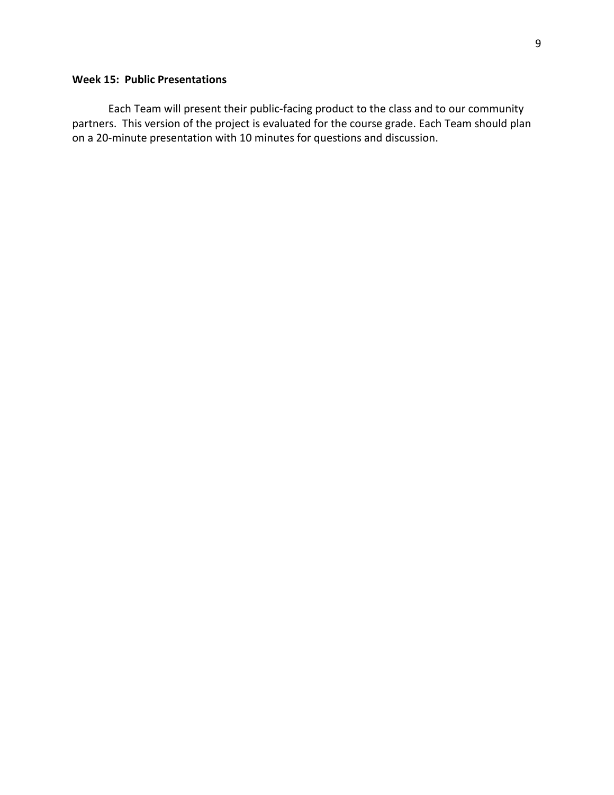# **Week 15: Public Presentations**

Each Team will present their public-facing product to the class and to our community partners. This version of the project is evaluated for the course grade. Each Team should plan on a 20-minute presentation with 10 minutes for questions and discussion.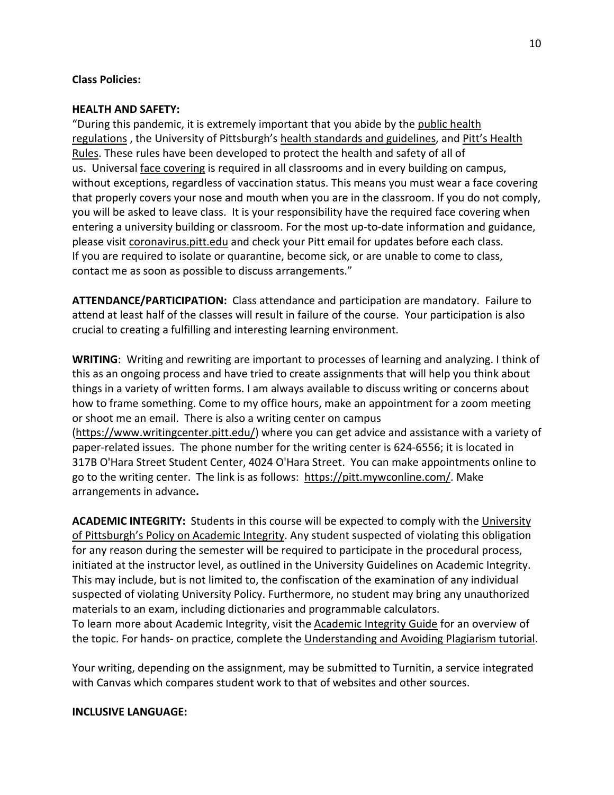### **Class Policies:**

#### **HEALTH AND SAFETY:**

"During this pandemic, it is extremely important that you abide by the [public health](https://www.alleghenycounty.us/Health-Department/Resources/COVID-19/COVID-19.aspx)  [regulations](https://www.alleghenycounty.us/Health-Department/Resources/COVID-19/COVID-19.aspx) , the University of Pittsburgh's [health standards and guidelines,](https://www.policy.pitt.edu/university-policies-and-procedures/covid-19-standards-and-guidelines) and [Pitt's Health](https://www.coronavirus.pitt.edu/healthy-community/pitts-health-rules)  [Rules.](https://www.coronavirus.pitt.edu/healthy-community/pitts-health-rules) These rules have been developed to protect the health and safety of all of us. Universal [face covering](https://www.coronavirus.pitt.edu/frequently-asked-questions-about-face-coverings) is required in all classrooms and in every building on campus, without exceptions, regardless of vaccination status. This means you must wear a face covering that properly covers your nose and mouth when you are in the classroom. If you do not comply, you will be asked to leave class. It is your responsibility have the required face covering when entering a university building or classroom. For the most up-to-date information and guidance, please visit [coronavirus.pitt.edu](http://coronavirus.pitt.edu/) and check your Pitt email for updates before each class. If you are required to isolate or quarantine, become sick, or are unable to come to class, contact me as soon as possible to discuss arrangements."

**ATTENDANCE/PARTICIPATION:** Class attendance and participation are mandatory. Failure to attend at least half of the classes will result in failure of the course. Your participation is also crucial to creating a fulfilling and interesting learning environment.

**WRITING**: Writing and rewriting are important to processes of learning and analyzing. I think of this as an ongoing process and have tried to create assignments that will help you think about things in a variety of written forms. I am always available to discuss writing or concerns about how to frame something. Come to my office hours, make an appointment for a zoom meeting or shoot me an email. There is also a writing center on campus [\(https://www.writingcenter.pitt.edu/\)](https://www.writingcenter.pitt.edu/) where you can get advice and assistance with a variety of paper-related issues. The phone number for the writing center is 624-6556; it is located in 317B O'Hara Street Student Center, 4024 O'Hara Street. You can make appointments online to go to the writing center. The link is as follows: [https://pitt.mywconline.com/.](https://pitt.mywconline.com/) Make arrangements in advance**.** 

**ACADEMIC INTEGRITY:** Students in this course will be expected to comply with the [University](https://www.provost.pitt.edu/info/ai1.html)  [of Pittsburgh's Policy on Academic Integrity.](https://www.provost.pitt.edu/info/ai1.html) Any student suspected of violating this obligation for any reason during the semester will be required to participate in the procedural process, initiated at the instructor level, as outlined in the University Guidelines on Academic Integrity. This may include, but is not limited to, the confiscation of the examination of any individual suspected of violating University Policy. Furthermore, no student may bring any unauthorized materials to an exam, including dictionaries and programmable calculators. To learn more about Academic Integrity, visit the [Academic Integrity Guide](http://pitt.libguides.com/academicintegrity/) for an overview of the topic. For hands- on practice, complete the [Understanding and Avoiding Plagiarism tutorial.](http://pitt.libguides.com/academicintegrity/plagiarism)

Your writing, depending on the assignment, may be submitted to Turnitin, a service integrated with Canvas which compares student work to that of websites and other sources.

## **INCLUSIVE LANGUAGE:**